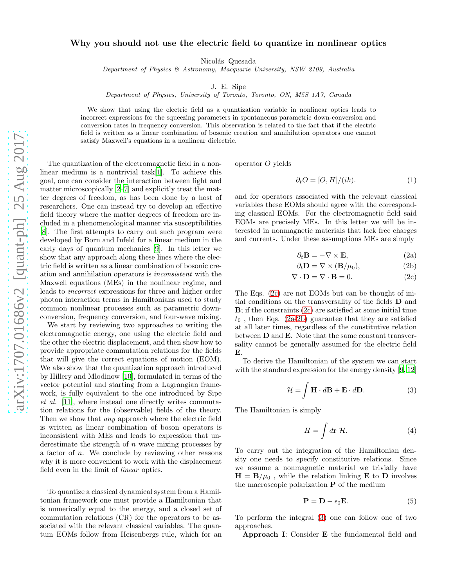## Why you should not use the electric field to quantize in nonlinear optics

Nicolás Quesada

*Department of Physics & Astronomy, Macquarie University, NSW 2109, Australia*

J. E. Sipe

*Department of Physics, University of Toronto, Toronto, ON, M5S 1A7, Canada*

We show that using the electric field as a quantization variable in nonlinear optics leads to incorrect expressions for the squeezing parameters in spontaneous parametric down-conversion and conversion rates in frequency conversion. This observation is related to the fact that if the electric field is written as a linear combination of bosonic creation and annihilation operators one cannot satisfy Maxwell's equations in a nonlinear dielectric.

The quantization of the electromagnetic field in a nonlinear medium is a nontrivial task[\[1\]](#page-3-0). To achieve this goal, one can consider the interaction between light and matter microscopically [\[2](#page-3-1)[–7](#page-3-2)] and explicitly treat the matter degrees of freedom, as has been done by a host of researchers. One can instead try to develop an effective field theory where the matter degrees of freedom are included in a phenomenological manner via susceptibilities [\[8\]](#page-3-3). The first attempts to carry out such program were developed by Born and Infeld for a linear medium in the early days of quantum mechanics [\[9](#page-3-4)]. In this letter we show that any approach along these lines where the electric field is written as a linear combination of bosonic creation and annihilation operators is inconsistent with the Maxwell equations (MEs) in the nonlinear regime, and leads to incorrect expressions for three and higher order photon interaction terms in Hamiltonians used to study common nonlinear processes such as parametric downconversion, frequency conversion, and four-wave mixing.

We start by reviewing two approaches to writing the electromagnetic energy, one using the electric field and the other the electric displacement, and then show how to provide appropriate commutation relations for the fields that will give the correct equations of motion (EOM). We also show that the quantization approach introduced by Hillery and Mlodinow [\[10](#page-4-0)], formulated in terms of the vector potential and starting from a Lagrangian framework, is fully equivalent to the one introduced by Sipe et al. [\[11\]](#page-4-1), where instead one directly writes commutation relations for the (observable) fields of the theory. Then we show that *any* approach where the electric field is written as linear combination of boson operators is inconsistent with MEs and leads to expression that underestimate the strength of  $n$  wave mixing processes by a factor of n. We conclude by reviewing other reasons why it is more convenient to work with the displacement field even in the limit of linear optics.

To quantize a classical dynamical system from a Hamiltonian framework one must provide a Hamiltonian that is numerically equal to the energy, and a closed set of commutation relations (CR) for the operators to be associated with the relevant classical variables. The quantum EOMs follow from Heisenbergs rule, which for an operator O yields

<span id="page-0-5"></span>
$$
\partial_t O = [O, H]/(i\hbar). \tag{1}
$$

and for operators associated with the relevant classical variables these EOMs should agree with the corresponding classical EOMs. For the electromagnetic field said EOMs are precisely MEs. In this letter we will be interested in nonmagnetic materials that lack free charges and currents. Under these assumptions MEs are simply

<span id="page-0-6"></span><span id="page-0-2"></span><span id="page-0-1"></span>
$$
\partial_t \mathbf{B} = -\nabla \times \mathbf{E},\tag{2a}
$$

<span id="page-0-0"></span>
$$
\partial_t \mathbf{D} = \nabla \times (\mathbf{B}/\mu_0),\tag{2b}
$$

$$
\nabla \cdot \mathbf{D} = \nabla \cdot \mathbf{B} = 0. \tag{2c}
$$

The Eqs. [\(2c\)](#page-0-0) are not EOMs but can be thought of initial conditions on the transversality of the fields D and B; if the constraints [\(2c\)](#page-0-0) are satisfied at some initial time  $t_0$ , then Eqs. [\(2a-](#page-0-1)[2b\)](#page-0-2) guarantee that they are satisfied at all later times, regardless of the constitutive relation between D and E. Note that the same constant transversality cannot be generally assumed for the electric field E.

To derive the Hamiltonian of the system we can start with the standard expression for the energy density [\[9](#page-3-4), [12](#page-4-2)]

$$
\mathcal{H} = \int \mathbf{H} \cdot d\mathbf{B} + \mathbf{E} \cdot d\mathbf{D}.
$$
 (3)

The Hamiltonian is simply

<span id="page-0-3"></span>
$$
H = \int d\mathbf{r} \, \mathcal{H}.\tag{4}
$$

To carry out the integration of the Hamiltonian density one needs to specify constitutive relations. Since we assume a nonmagnetic material we trivially have  $H = B/\mu_0$ , while the relation linking **E** to **D** involves the macroscopic polarization  $P$  of the medium

<span id="page-0-4"></span>
$$
\mathbf{P} = \mathbf{D} - \epsilon_0 \mathbf{E}.\tag{5}
$$

To perform the integral [\(3\)](#page-0-3) one can follow one of two approaches.

Approach I: Consider E the fundamental field and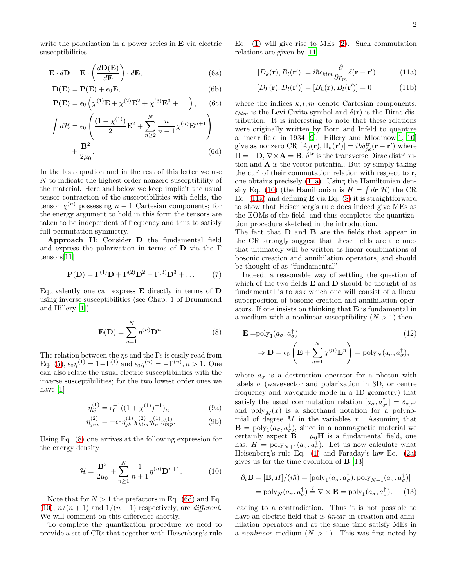write the polarization in a power series in **E** via electric susceptibilities

$$
\mathbf{E} \cdot d\mathbf{D} = \mathbf{E} \cdot \left(\frac{d\mathbf{D}(\mathbf{E})}{d\mathbf{E}}\right) \cdot d\mathbf{E},\tag{6a}
$$

$$
\mathbf{D}(\mathbf{E}) = \mathbf{P}(\mathbf{E}) + \epsilon_0 \mathbf{E},\tag{6b}
$$

$$
\mathbf{P}(\mathbf{E}) = \epsilon_0 \left( \chi^{(1)} \mathbf{E} + \chi^{(2)} \mathbf{E}^2 + \chi^{(3)} \mathbf{E}^3 + \ldots \right), \quad (6c)
$$

$$
\int d\mathcal{H} = \epsilon_0 \left( \frac{(1 + \chi^{(1)})}{2} \mathbf{E}^2 + \sum_{n \ge 2}^N \frac{n}{n+1} \chi^{(n)} \mathbf{E}^{n+1} \right) + \frac{\mathbf{B}^2}{2\mu_0}.
$$
\n(6d)

In the last equation and in the rest of this letter we use N to indicate the highest order nonzero susceptibility of the material. Here and below we keep implicit the usual tensor contraction of the susceptibilities with fields, the tensor  $\chi^{(n)}$  possessing  $n+1$  Cartesian components; for the energy argument to hold in this form the tensors are taken to be independent of frequency and thus to satisfy full permutation symmetry.

Approach II: Consider D the fundamental field and express the polarization in terms of D via the Γ tensors[\[11\]](#page-4-1)

$$
\mathbf{P}(\mathbf{D}) = \Gamma^{(1)}\mathbf{D} + \Gamma^{(2)}\mathbf{D}^2 + \Gamma^{(3)}\mathbf{D}^3 + \dots \tag{7}
$$

Equivalently one can express E directly in terms of D using inverse susceptibilities (see Chap. 1 of Drummond and Hillery [\[1\]](#page-3-0))

$$
\mathbf{E}(\mathbf{D}) = \sum_{n=1}^{N} \eta^{(n)} \mathbf{D}^{n}.
$$
 (8)

The relation between the  $\eta s$  and the  $\Gamma s$  is easily read from Eq. [\(5\)](#page-0-4),  $\epsilon_0 \eta^{(1)} = 1 - \Gamma^{(1)}$  and  $\epsilon_0 \eta^{(n)} = -\Gamma^{(n)}, n > 1$ . One can also relate the usual electric susceptibilities with the inverse susceptibilities; for the two lowest order ones we have [\[1\]](#page-3-0)

<span id="page-1-4"></span>
$$
\eta_{ij}^{(1)} = \epsilon_0^{-1}((1 + \chi^{(1)})^{-1})_{ij}
$$
\n(9a)

$$
\eta_{jnp}^{(2)} = -\epsilon_0 \eta_{jk}^{(1)} \chi_{klm}^{(2)} \eta_{ln}^{(1)} \eta_{mp}^{(1)}.
$$
 (9b)

Using Eq. [\(8\)](#page-1-0) one arrives at the following expression for the energy density

$$
\mathcal{H} = \frac{\mathbf{B}^2}{2\mu_0} + \sum_{n\geq 1}^{N} \frac{1}{n+1} \eta^{(n)} \mathbf{D}^{n+1}.
$$
 (10)

Note that for  $N > 1$  the prefactors in Eq. [\(6d\)](#page-1-1) and Eq. [\(10\)](#page-1-2),  $n/(n+1)$  and  $1/(n+1)$  respectively, are *different*. We will comment on this difference shortly.

To complete the quantization procedure we need to provide a set of CRs that together with Heisenberg's rule Eq. [\(1\)](#page-0-5) will give rise to MEs [\(2\)](#page-0-6). Such commutation relations are given by [\[11\]](#page-4-1)

<span id="page-1-3"></span>
$$
[D_k(\mathbf{r}), B_l(\mathbf{r}')] = i\hbar \epsilon_{klm} \frac{\partial}{\partial r_m} \delta(\mathbf{r} - \mathbf{r}'), \quad (11a)
$$

$$
[D_k(\mathbf{r}), D_l(\mathbf{r}')] = [B_k(\mathbf{r}), B_l(\mathbf{r}')] = 0 \tag{11b}
$$

<span id="page-1-1"></span>where the indices  $k, l, m$  denote Cartesian components,  $\epsilon_{klm}$  is the Levi-Civita symbol and  $\delta(\mathbf{r})$  is the Dirac distribution. It is interesting to note that these relations were originally written by Born and Infeld to quantize a linear field in 1934 [\[9](#page-3-4)]. Hillery and Mlodinow[\[1](#page-3-0), [10](#page-4-0)] give as nonzero CR  $[A_j(\mathbf{r}), \Pi_k(\mathbf{r}')] = i\hbar \delta_{jk}^{\text{tr}}(\mathbf{r} - \mathbf{r}')$  where  $\Pi = -D, \nabla \times \mathbf{A} = \mathbf{B}, \delta^{\text{tr}}$  is the transverse Dirac distribution and  $\bf{A}$  is the vector potential. But by simply taking the curl of their commutation relation with respect to r, one obtains precisely [\(11a\)](#page-1-3). Using the Hamiltonian den-sity Eq. [\(10\)](#page-1-2) (the Hamiltonian is  $H = \int d\mathbf{r} \mathcal{H}$ ) the CR Eq.  $(11a)$  and defining **E** via Eq.  $(8)$  it is straightforward to show that Heisenberg's rule does indeed give MEs as the EOMs of the field, and thus completes the quantization procedure sketched in the introduction.

The fact that D and B are the fields that appear in the CR strongly suggest that these fields are the ones that ultimately will be written as linear combinations of bosonic creation and annihilation operators, and should be thought of as "fundamental".

Indeed, a reasonable way of settling the question of which of the two fields  $E$  and  $D$  should be thought of as fundamental is to ask which one will consist of a linear superposition of bosonic creation and annihilation operators. If one insists on thinking that E is fundamental in a medium with a nonlinear susceptibility  $(N > 1)$  then

<span id="page-1-0"></span>
$$
\mathbf{E} = \text{poly}_1(a_{\sigma}, a_{\sigma}^{\dagger})
$$
\n
$$
\Rightarrow \mathbf{D} = \epsilon_0 \left( \mathbf{E} + \sum_{n=1}^{N} \chi^{(n)} \mathbf{E}^n \right) = \text{poly}_N(a_{\sigma}, a_{\sigma}^{\dagger}),
$$
\n(12)

where  $a_{\sigma}$  is a destruction operator for a photon with labels  $\sigma$  (wavevector and polarization in 3D, or centre frequency and waveguide mode in a 1D geometry) that satisfy the usual commutation relation  $[a_{\sigma}, a^{\dagger}_{\sigma'}] = \delta_{\sigma,\sigma'}$ and  $\text{poly}_M(x)$  is a shorthand notation for a polynomial of degree  $M$  in the variables  $x$ . Assuming that  $\mathbf{B} = \text{poly}_1(a_{\sigma}, a_{\sigma}^{\dagger}),$  since in a nonmagnetic material we certainly expect  $\mathbf{B} = \mu_0 \mathbf{H}$  is a fundamental field, one has,  $H = \text{poly}_{N+1}(a_{\sigma}, a_{\sigma}^{\dagger}).$  Let us now calculate what Heisenberg's rule Eq. [\(1\)](#page-0-5) and Faraday's law Eq. [\(2a\)](#page-0-1) gives us for the time evolution of B [\[13](#page-4-3)]

<span id="page-1-2"></span>
$$
\partial_t \mathbf{B} = [\mathbf{B}, H]/(i\hbar) = [\text{poly}_1(a_\sigma, a_\sigma^\dagger), \text{poly}_{N+1}(a_\sigma, a_\sigma^\dagger)]
$$

$$
= \text{poly}_N(a_\sigma, a_\sigma^\dagger) \stackrel{?}{=} \nabla \times \mathbf{E} = \text{poly}_1(a_\sigma, a_\sigma^\dagger). \tag{13}
$$

leading to a contradiction. Thus it is not possible to have an electric field that is *linear* in creation and annihilation operators and at the same time satisfy MEs in a nonlinear medium  $(N > 1)$ . This was first noted by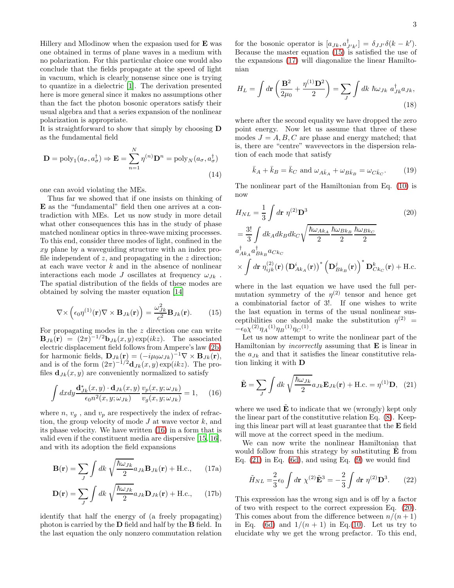Hillery and Mlodinow when the expasion used for  ${\bf E}$  was one obtained in terms of plane waves in a medium with no polarization. For this particular choice one would also conclude that the fields propagate at the speed of light in vacuum, which is clearly nonsense since one is trying to quantize in a dielectric [\[1](#page-3-0)]. The derivation presented here is more general since it makes no assumptions other than the fact the photon bosonic operators satisfy their usual algebra and that a series expansion of the nonlinear polarization is appropriate.

It is straightforward to show that simply by choosing D as the fundamental field

$$
\mathbf{D} = \text{poly}_1(a_{\sigma}, a_{\sigma}^{\dagger}) \Rightarrow \mathbf{E} = \sum_{n=1}^{N} \eta^{(n)} \mathbf{D}^n = \text{poly}_N(a_{\sigma}, a_{\sigma}^{\dagger})
$$
\n(14)

one can avoid violating the MEs.

Thus far we showed that if one insists on thinking of E as the "fundamental" field then one arrives at a contradiction with MEs. Let us now study in more detail what other consequences this has in the study of phase matched nonlinear optics in three-wave mixing processes. To this end, consider three modes of light, confined in the xy plane by a waveguiding structure with an index profile independent of  $z$ , and propagating in the  $z$  direction; at each wave vector  $k$  and in the absence of nonlinear interactions each mode J oscillates at frequency  $\omega_{Jk}$ . The spatial distribution of the fields of these modes are obtained by solving the master equation [\[14\]](#page-4-4)

$$
\nabla \times \left( \epsilon_0 \eta^{(1)}(\mathbf{r}) \nabla \times \mathbf{B}_{Jk}(\mathbf{r}) \right) = \frac{\omega_{Jk}^2}{c^2} \mathbf{B}_{Jk}(\mathbf{r}). \tag{15}
$$

For propagating modes in the  $z$  direction one can write  $\mathbf{B}_{Jk}(\mathbf{r}) = (2\pi)^{-1/2} \mathbf{b}_{Jk}(x, y) \exp(ikz)$ . The associated electric displacement field follows from Ampere's law [\(2b\)](#page-0-2) for harmonic fields,  $\mathbf{D}_{Jk}(\mathbf{r}) = (-i\mu_0\omega_{Jk})^{-1}\nabla \times \mathbf{B}_{Jk}(\mathbf{r}),$ and is of the form  $(2\pi)^{-1/2} \mathbf{d}_{Jk}(x, y) \exp(ikz)$ . The profiles  $\mathbf{d}_{Jk}(x, y)$  are conveniently normalized to satisfy

$$
\int dx dy \frac{\mathbf{d}_{Jk}^*(x, y) \cdot \mathbf{d}_{Jk}(x, y)}{\epsilon_0 n^2(x, y; \omega_{Jk})} \frac{v_p(x, y; \omega_{Jk})}{v_g(x, y; \omega_{Jk})} = 1, \quad (16)
$$

where  $n, v_a$ , and  $v_p$  are respectively the index of refraction, the group velocity of mode  $J$  at wave vector  $k$ , and its phase velocity. We have written [\(16\)](#page-2-0) in a form that is valid even if the constituent media are dispersive [\[15](#page-4-5), [16\]](#page-4-6), and with its adoption the field expansions

$$
\mathbf{B}(\mathbf{r}) = \sum_{J} \int dk \sqrt{\frac{\hbar \omega_{Jk}}{2}} a_{Jk} \mathbf{B}_{Jk}(\mathbf{r}) + \text{H.c.}, \qquad (17a)
$$

$$
\mathbf{D}(\mathbf{r}) = \sum_{J} \int dk \sqrt{\frac{\hbar \omega_{Jk}}{2}} a_{Jk} \mathbf{D}_{Jk}(\mathbf{r}) + \text{H.c.}, \quad (17b)
$$

identify that half the energy of (a freely propagating) photon is carried by the D field and half by the B field. In the last equation the only nonzero commutation relation

for the bosonic operator is  $[a_{Jk}, a^{\dagger}_{J'k'}] = \delta_{JJ'}\delta(k - k').$ Because the master equation [\(15\)](#page-2-1) is satisfied the use of the expansions [\(17\)](#page-2-2) will diagonalize the linear Hamiltonian

$$
H_L = \int d\mathbf{r} \left( \frac{\mathbf{B}^2}{2\mu_0} + \frac{\eta^{(1)}\mathbf{D}^2}{2} \right) = \sum_J \int dk \ \hbar \omega_{Jk} \ a_{Jk}^\dagger a_{Jk},\tag{18}
$$

where after the second equality we have dropped the zero point energy. Now let us assume that three of these modes  $J = A, B, C$  are phase and energy matched; that is, there are "centre" wavevectors in the dispersion relation of each mode that satisfy

<span id="page-2-5"></span><span id="page-2-4"></span>
$$
\bar{k}_A + \bar{k}_B = \bar{k}_C \text{ and } \omega_{A\bar{k}_A} + \omega_{B\bar{k}_B} = \omega_{C\bar{k}_C}.
$$
 (19)

The nonlinear part of the Hamiltonian from Eq. [\(10\)](#page-1-2) is now

$$
H_{NL} = \frac{1}{3} \int d\mathbf{r} \ \eta^{(2)} \mathbf{D}^3
$$
\n
$$
= \frac{3!}{3} \int dk_A dk_B dk_C \sqrt{\frac{\hbar \omega_{Ak_A}}{2} \frac{\hbar \omega_{Bk_B}}{2} \frac{\hbar \omega_{Bk_C}}{2}}
$$
\n
$$
a_{Ak_A}^{\dagger} a_{Bk_B}^{\dagger} a_{Ck_C}
$$
\n
$$
\times \int d\mathbf{r} \ \eta_{ijk}^{(2)}(\mathbf{r}) \left(\mathbf{D}_{Ak_A}^i(\mathbf{r})\right)^* \left(\mathbf{D}_{Bk_B}^j(\mathbf{r})\right)^* \mathbf{D}_{Ck_C}^k(\mathbf{r}) + \text{H.c.}
$$
\n(20)

<span id="page-2-1"></span>where in the last equation we have used the full permutation symmetry of the  $\eta^{(2)}$  tensor and hence get a combinatorial factor of 3!. If one wishes to write the last equation in terms of the usual nonlinear susceptibilities one should make the substitution  $\eta^{(2)}$  =  $-\epsilon_0 \chi^{(2)} \eta_A{}^{(1)} \eta_B{}^{(1)} \eta_C{}^{(1)}.$ 

Let us now attempt to write the nonlinear part of the Hamiltonian by *incorrectly* assuming that  $E$  is linear in the  $a_{Jk}$  and that it satisfies the linear constitutive relation linking it with D

<span id="page-2-3"></span>
$$
\tilde{\mathbf{E}} = \sum_{J} \int dk \sqrt{\frac{\hbar \omega_{Jk}}{2}} a_{Jk} \mathbf{E}_{Jk}(\mathbf{r}) + \text{H.c.} = \eta^{(1)} \mathbf{D}, \quad (21)
$$

<span id="page-2-0"></span>where we used  $E$  to indicate that we (wrongly) kept only the linear part of the constitutive relation Eq. [\(8\)](#page-1-0). Keeping this linear part will at least guarantee that the E field will move at the correct speed in the medium.

<span id="page-2-2"></span>We can now write the nonlinear Hamiltonian that would follow from this strategy by substituting  $E$  from Eq.  $(21)$  in Eq.  $(6d)$ , and using Eq.  $(9)$  we would find

$$
\tilde{H}_{NL} = \frac{2}{3} \epsilon_0 \int d\mathbf{r} \ \chi^{(2)} \tilde{\mathbf{E}}^3 = -\frac{2}{3} \int d\mathbf{r} \ \eta^{(2)} \mathbf{D}^3. \tag{22}
$$

This expression has the wrong sign and is off by a factor of two with respect to the correct expression Eq. [\(20\)](#page-2-4). This comes about from the difference between  $n/(n+1)$ in Eq. [\(6d\)](#page-1-1) and  $1/(n+1)$  in Eq.[\(10\)](#page-1-2). Let us try to elucidate why we get the wrong prefactor. To this end,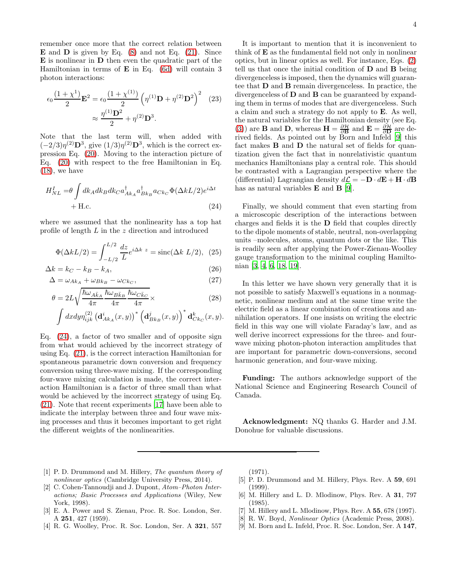remember once more that the correct relation between  $\mathbf E$  and  $\mathbf D$  is given by Eq. [\(8\)](#page-1-0) and not Eq. [\(21\)](#page-2-3). Since E is nonlinear in D then even the quadratic part of the Hamiltonian in terms of  $E$  in Eq. [\(6d\)](#page-1-1) will contain 3 photon interactions:

$$
\epsilon_0 \frac{(1+\chi^1)}{2} \mathbf{E}^2 = \epsilon_0 \frac{(1+\chi^{(1)})}{2} \left( \eta^{(1)} \mathbf{D} + \eta^{(2)} \mathbf{D}^2 \right)^2 \tag{23}
$$
\n
$$
\approx \frac{\eta^{(1)} \mathbf{D}^2}{2} + \eta^{(2)} \mathbf{D}^3.
$$

Note that the last term will, when added with  $(-2/3)\eta^{(2)}\mathbf{D}^3$ , give  $(1/3)\eta^{(2)}\mathbf{D}^3$ , which is the correct expression Eq. [\(20\)](#page-2-4). Moving to the interaction picture of Eq. [\(20\)](#page-2-4) with respect to the free Hamiltonian in Eq. [\(18\)](#page-2-5), we have

$$
H_{NL}^{I} = \theta \int dk_A dk_B dk_C a_{Ak_A}^{\dagger} a_{Bk_B}^{\dagger} a_{Ck_C} \Phi(\Delta k L/2) e^{i\Delta t} + \text{H.c.}
$$
\n
$$
(24)
$$

where we assumed that the nonlinearity has a top hat profile of length  $L$  in the  $z$  direction and introduced

$$
\Phi(\Delta k L/2) = \int_{-L/2}^{L/2} \frac{dz}{L} e^{i\Delta k z} = \text{sinc}(\Delta k L/2), \tag{25}
$$

$$
\Delta k = k_C - k_B - k_A, \tag{26}
$$

$$
\Delta = \omega_{Ak_A} + \omega_{Bk_B} - \omega_{Ck_C},\tag{27}
$$

$$
\theta = 2L\sqrt{\frac{\hbar\omega_{A\bar{k}_{A}}}{4\pi}}\frac{\hbar\omega_{B\bar{k}_{B}}}{4\pi}\frac{\hbar\omega_{C\bar{k}_{C}}}{4\pi}\times
$$
\n(28)

$$
\int dx dy \eta_{ijk}^{(2)} (\mathbf{d}_{Ak_A}^i(x,y))^* (\mathbf{d}_{Bk_B}^j(x,y))^* \mathbf{d}_{Ck_C}^k(x,y).
$$

Eq. [\(24\)](#page-3-5), a factor of two smaller and of opposite sign from what would achieved by the incorrect strategy of using Eq. [\(21\)](#page-2-3), is the correct interaction Hamiltonian for spontaneous parametric down conversion and frequency conversion using three-wave mixing. If the corresponding four-wave mixing calculation is made, the correct interaction Hamiltonian is a factor of three small than what would be achieved by the incorrect strategy of using Eq. [\(21\)](#page-2-3). Note that recent experiments [\[17\]](#page-4-7) have been able to indicate the interplay between three and four wave mixing processes and thus it becomes important to get right the different weights of the nonlinearities.

It is important to mention that it is inconvenient to think of E as the fundamental field not only in nonlinear optics, but in linear optics as well. For instance, Eqs. [\(2\)](#page-0-6) tell us that once the initial condition of D and B being divergenceless is imposed, then the dynamics will guarantee that D and B remain divergenceless. In practice, the divergenceless of D and B can be guaranteed by expanding them in terms of modes that are divergenceless. Such a claim and such a strategy do not apply to E. As well, the natural variables for the Hamiltonian density (see Eq. [\(3\)](#page-0-3)) are **B** and **D**, whereas  $\mathbf{H} = \frac{\partial \mathcal{H}}{\partial \mathbf{B}}$  and  $\mathbf{E} = \frac{\partial \mathcal{H}}{\partial \mathbf{D}}$  are derived fields. As pointed out by Born and Infeld [\[9](#page-3-4)] this fact makes B and D the natural set of fields for quantization given the fact that in nonrelativistic quantum mechanics Hamiltonians play a central role. This should be contrasted with a Lagrangian perspective where the (differential) Lagrangian density  $d\mathcal{L} = -\mathbf{D} \cdot d\mathbf{E} + \mathbf{H} \cdot d\mathbf{B}$ has as natural variables  $\bf{E}$  and  $\bf{B}$  [\[9\]](#page-3-4).

<span id="page-3-5"></span>Finally, we should comment that even starting from a microscopic description of the interactions between charges and fields it is the D field that couples directly to the dipole moments of stable, neutral, non-overlapping units –molecules, atoms, quantum dots or the like. This is readily seen after applying the Power-Zienau-Woolley gauge transformation to the minimal coupling Hamiltonian [\[3,](#page-3-6) [4,](#page-3-7) [6,](#page-3-8) [18](#page-4-8), [19](#page-4-9)].

In this letter we have shown very generally that it is not possible to satisfy Maxwell's equations in a nonmagnetic, nonlinear medium and at the same time write the electric field as a linear combination of creations and annihilation operators. If one insists on writing the electric field in this way one will violate Faraday's law, and as well derive incorrect expressions for the three- and fourwave mixing photon-photon interaction amplitudes that are important for parametric down-conversions, second harmonic generation, and four-wave mixing.

Funding: The authors acknowledge support of the National Science and Engineering Research Council of Canada.

Acknowledgment: NQ thanks G. Harder and J.M. Donohue for valuable discussions.

- <span id="page-3-0"></span>[1] P. D. Drummond and M. Hillery, *The quantum theory of nonlinear optics* (Cambridge University Press, 2014).
- <span id="page-3-1"></span>[2] C. Cohen-Tannoudji and J. Dupont, *Atom–Photon Interactions; Basic Processes and Applications* (Wiley, New York, 1998).
- <span id="page-3-6"></span>[3] E. A. Power and S. Zienau, Proc. R. Soc. London, Ser. A 251, 427 (1959).
- <span id="page-3-7"></span>[4] R. G. Woolley, Proc. R. Soc. London, Ser. A 321, 557

(1971).

- [5] P. D. Drummond and M. Hillery, Phys. Rev. A 59, 691 (1999).
- <span id="page-3-8"></span>[6] M. Hillery and L. D. Mlodinow, Phys. Rev. A 31, 797 (1985).
- <span id="page-3-2"></span>[7] M. Hillery and L. Mlodinow, Phys. Rev. A 55, 678 (1997).
- <span id="page-3-3"></span>[8] R. W. Boyd, *Nonlinear Optics* (Academic Press, 2008).
- <span id="page-3-4"></span>[9] M. Born and L. Infeld, Proc. R. Soc. London, Ser. A 147,